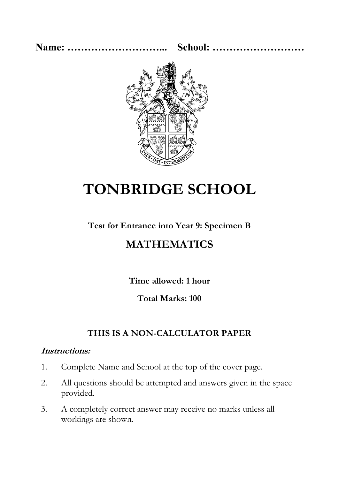**Name: ………………………... School: ………………………**



# **TONBRIDGE SCHOOL**

#### **Test for Entrance into Year 9: Specimen B**

## **MATHEMATICS**

**Time allowed: 1 hour** 

#### **Total Marks: 100**

### **THIS IS A NON-CALCULATOR PAPER**

#### **Instructions:**

- 1. Complete Name and School at the top of the cover page.
- 2. All questions should be attempted and answers given in the space provided.
- 3. A completely correct answer may receive no marks unless all workings are shown.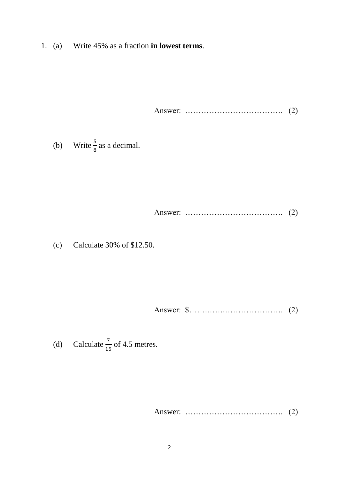1. (a) Write 45% as a fraction **in lowest terms**.

Answer: ………………………………. (2)

(b) Write  $\frac{5}{8}$  as a decimal.

Answer: ………………………………. (2)

(c) Calculate 30% of \$12.50.

Answer: \$…….…….…………………. (2)

(d) Calculate  $\frac{7}{15}$  of 4.5 metres.

Answer: ………………………………. (2)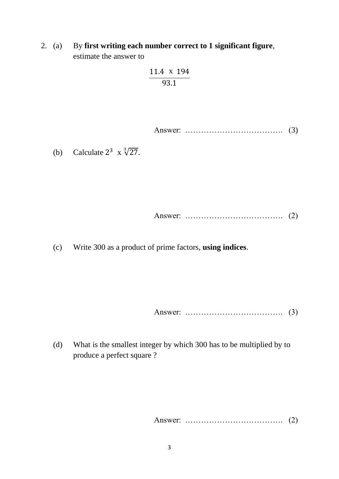2. (a) By **first writing each number correct to 1 significant figure**, estimate the answer to

$$
\frac{11.4 \times 194}{93.1}
$$

Answer: ………………………………. (3)

(b) Calculate  $2^3 \times \sqrt[3]{27}$ .

Answer: ………………………………. (2)

(c) Write 300 as a product of prime factors, **using indices**.

Answer: ………………………………. (3)

(d) What is the smallest integer by which 300 has to be multiplied by to produce a perfect square ?

Answer: ………………………………. (2)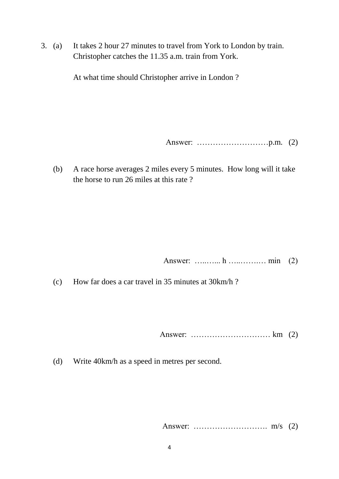3. (a) It takes 2 hour 27 minutes to travel from York to London by train. Christopher catches the 11.35 a.m. train from York.

At what time should Christopher arrive in London ?

Answer: ………………………p.m. (2)

(b) A race horse averages 2 miles every 5 minutes. How long will it take the horse to run 26 miles at this rate ?

Answer: …..…... h …..…….… min (2)

(c) How far does a car travel in 35 minutes at 30km/h ?

Answer: ………………………… km (2)

(d) Write 40km/h as a speed in metres per second.

Answer: ………………………. m/s (2)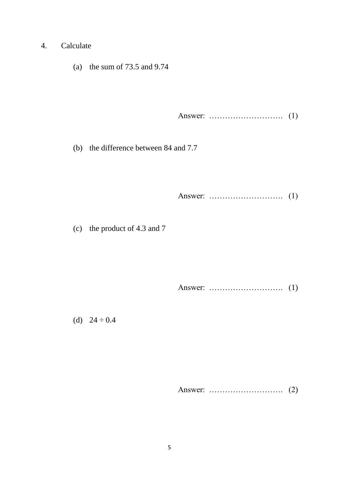- 4. Calculate
	- (a) the sum of 73.5 and 9.74

Answer: ………………………. (1)

(b) the difference between 84 and 7.7

Answer: ………………………. (1)

(c) the product of 4.3 and 7

Answer: ………………………. (1)

(d)  $24 \div 0.4$ 

Answer: ………………………. (2)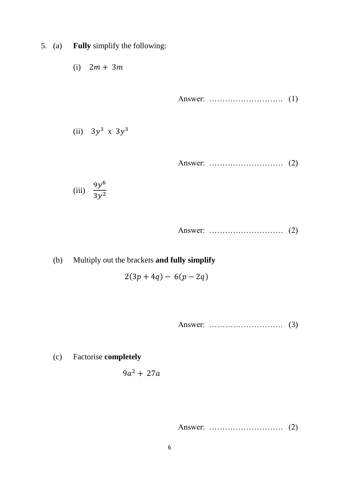- 5. (a) **Fully** simplify the following:
	- (i)  $2m + 3m$

Answer: ………………………. (1)

(ii)  $3y^3$  x  $3y^3$ 

Answer: ………………………. (2)

(iii) 
$$
\frac{9y^6}{3y^2}
$$

Answer: ………………………. (2)

(b) Multiply out the brackets **and fully simplify**

 $2(3p + 4q) - 6(p - 2q)$ 

Answer: ………………………. (3)

(c) Factorise **completely**

$$
9a^2+27a
$$

Answer: ………………………. (2)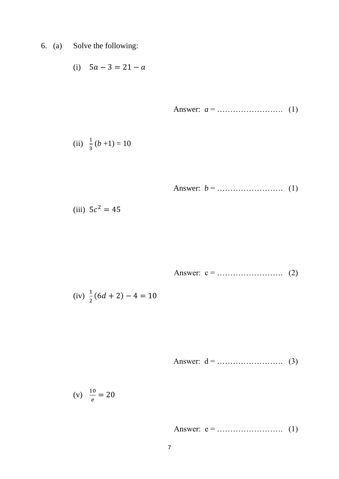6. (a) Solve the following:

(i) 
$$
5a - 3 = 21 - a
$$

Answer: 
$$
a =
$$

(ii) 
$$
\frac{1}{3}(b+1) = 10
$$

Answer: 
$$
b =
$$
................. (1)

(iii) 
$$
5c^2 = 45
$$

Answer: c = ……………………. (2)

(iv) 
$$
\frac{1}{2}(6d+2)-4=10
$$

Answer: 
$$
d =
$$
................. (3)

$$
(v) \quad \frac{10}{e} = 20
$$

Answer: 
$$
e =
$$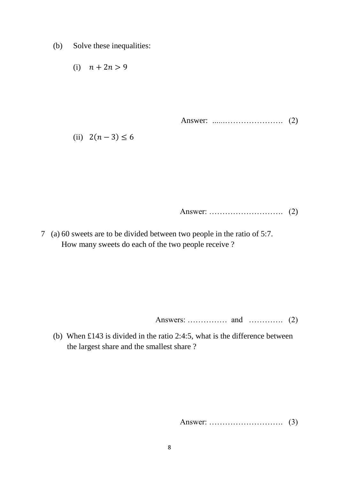(b) Solve these inequalities:

(i) 
$$
n + 2n > 9
$$

Answer: *…..*.…………………. (2)

(ii)  $2(n-3)$  ≤ 6

Answer: ………………………. (2)

7 (a) 60 sweets are to be divided between two people in the ratio of 5:7. How many sweets do each of the two people receive ?

Answers: …………… and …………. (2)

(b) When £143 is divided in the ratio 2:4:5, what is the difference between the largest share and the smallest share ?

Answer: ………………………. (3)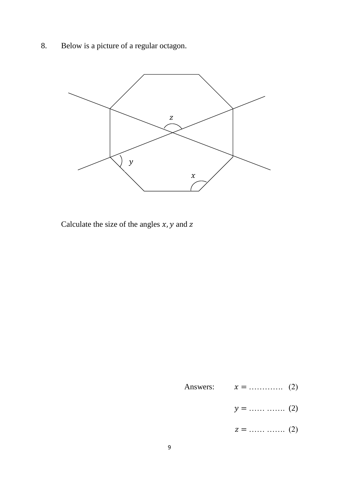8. Below is a picture of a regular octagon.



Calculate the size of the angles  $x$ ,  $y$  and  $z$ 

- Answers:  $x =$  ………….. (2)
	- $y =$  …… ……. (2)
	- $z =$  …… ……. (2)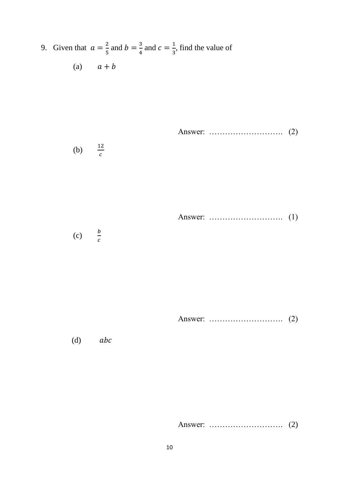9. Given that  $a = \frac{2}{5}$  $\frac{2}{5}$  and  $b = \frac{3}{4}$  $\frac{3}{4}$  and  $c = \frac{1}{3}$  $\frac{1}{3}$ , find the value of (a)  $a + b$ 

Answer: ………………………. (2)

$$
(b) \qquad \frac{12}{c}
$$

Answer: ………………………. (1)

(c)  $\frac{b}{c}$  $\mathcal{C}_{0}^{(n)}$ 

Answer: ………………………. (2)

 $(d)$  abc

Answer: ………………………. (2)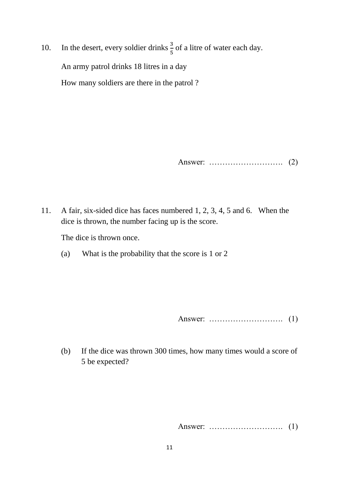10. In the desert, every soldier drinks  $\frac{3}{5}$  of a litre of water each day. An army patrol drinks 18 litres in a day How many soldiers are there in the patrol ?

Answer: ………………………. (2)

11. A fair, six-sided dice has faces numbered 1, 2, 3, 4, 5 and 6. When the dice is thrown, the number facing up is the score.

The dice is thrown once.

(a) What is the probability that the score is 1 or 2

Answer: ………………………. (1)

(b) If the dice was thrown 300 times, how many times would a score of 5 be expected?

Answer: ………………………. (1)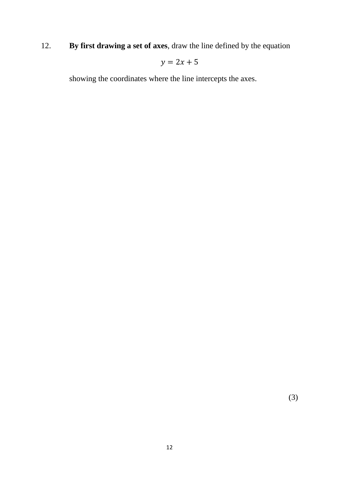12. **By first drawing a set of axes**, draw the line defined by the equation

 $y = 2x + 5$ 

showing the coordinates where the line intercepts the axes.

(3)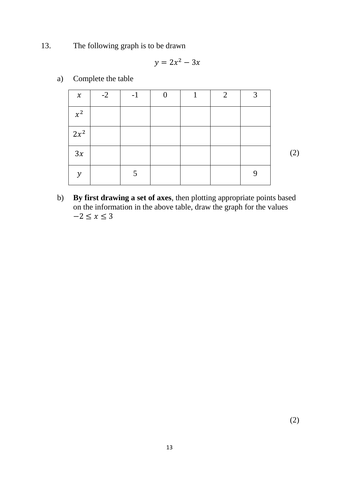13. The following graph is to be drawn

$$
y = 2x^2 - 3x
$$

- (2)  $x$  | -2 | -1 | 0 | 1 | 2 | 3  $x^2$  $2x^2$  $3x$  $y$  | 5 | | | | 9
- a) Complete the table

b) **By first drawing a set of axes**, then plotting appropriate points based on the information in the above table, draw the graph for the values  $-2 \le x \le 3$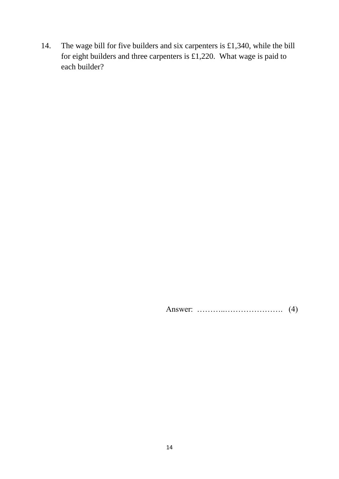14. The wage bill for five builders and six carpenters is £1,340, while the bill for eight builders and three carpenters is £1,220. What wage is paid to each builder?

Answer: ………..…………………. (4)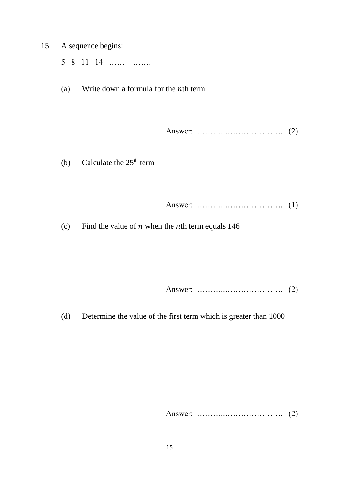15. A sequence begins: 5 8 11 14 …… ……. (a) Write down a formula for the  $nth$  term Answer: ………..…………………. (2) (b) Calculate the  $25<sup>th</sup>$  term Answer: ………..…………………. (1)

(c) Find the value of  $n$  when the  $n$ th term equals 146

Answer: ………..…………………. (2)

(d) Determine the value of the first term which is greater than 1000

Answer: ………..…………………. (2)